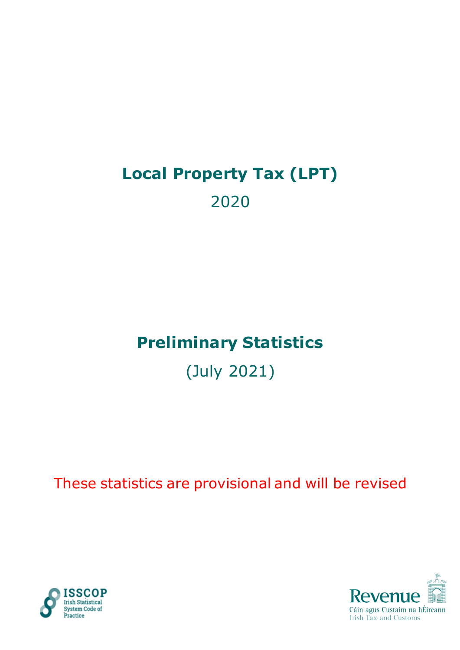# **Local Property Tax (LPT)** 2020

# **Preliminary Statistics**

(July 2021)

These statistics are provisional and will be revised



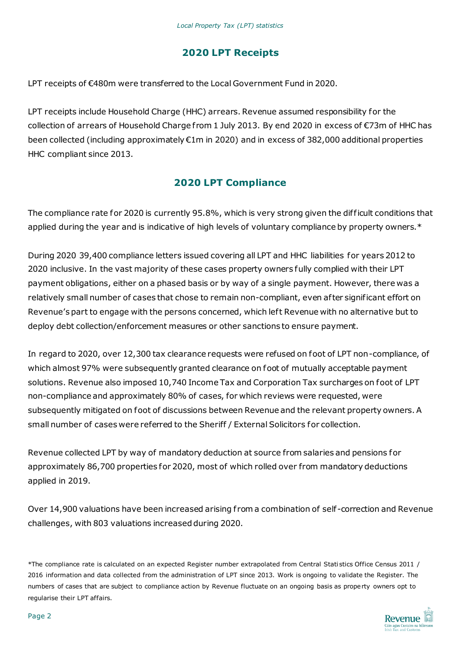## **2020 LPT Receipts**

LPT receipts of €480m were transferred to the Local Government Fund in 2020.

LPT receipts include Household Charge (HHC) arrears. Revenue assumed responsibility for the collection of arrears of Household Charge from 1 July 2013. By end 2020 in excess of €73m of HHC has been collected (including approximately €1m in 2020) and in excess of 382,000 additional properties HHC compliant since 2013.

### **2020 LPT Compliance**

The compliance rate for 2020 is currently 95.8%, which is very strong given the dif ficult conditions that applied during the year and is indicative of high levels of voluntary compliance by property owners.\*

During 2020 39,400 compliance letters issued covering all LPT and HHC liabilities for years 2012 to 2020 inclusive. In the vast majority of these cases property owners fully complied with their LPT payment obligations, either on a phased basis or by way of a single payment. However, there was a relatively small number of cases that chose to remain non-compliant, even af ter significant effort on Revenue's part to engage with the persons concerned, which left Revenue with no alternative but to deploy debt collection/enforcement measures or other sanctions to ensure payment.

In regard to 2020, over 12,300 tax clearance requests were refused on foot of LPT non-compliance, of which almost 97% were subsequently granted clearance on foot of mutually acceptable payment solutions. Revenue also imposed 10,740 Income Tax and Corporation Tax surcharges on foot of LPT non-compliance and approximately 80% of cases, for which reviews were requested, were subsequently mitigated on foot of discussions between Revenue and the relevant property owners. A small number of cases were referred to the Sheriff / External Solicitors for collection.

Revenue collected LPT by way of mandatory deduction at source from salaries and pensions for approximately 86,700 properties for 2020, most of which rolled over from mandatory deductions applied in 2019.

Over 14,900 valuations have been increased arising from a combination of self-correction and Revenue challenges, with 803 valuations increased during 2020.

\*The compliance rate is calculated on an expected Register number extrapolated from Central Stati stics Office Census 2011 / 2016 information and data collected from the administration of LPT since 2013. Work is ongoing to validate the Register. The numbers of cases that are subject to compliance action by Revenue fluctuate on an ongoing basis as property owners opt to regularise their LPT affairs.

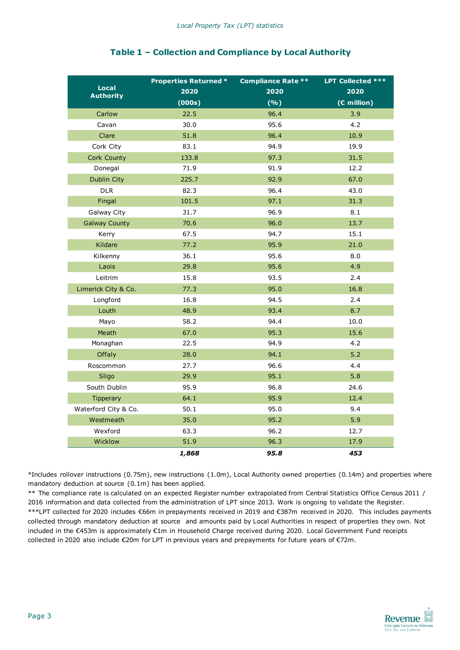|                                  | <b>Properties Returned *</b> | <b>Compliance Rate **</b> | LPT Collected *** |
|----------------------------------|------------------------------|---------------------------|-------------------|
| <b>Local</b><br><b>Authority</b> | 2020                         | 2020                      | 2020              |
|                                  | (000s)                       | (%)                       | $(E$ million)     |
| Carlow                           | 22.5                         | 96.4                      | 3.9               |
| Cavan                            | 30.0                         | 95.6                      | 4.2               |
| Clare                            | 51.8                         | 96.4                      | 10.9              |
| Cork City                        | 83.1                         | 94.9                      | 19.9              |
| Cork County                      | 133.8                        | 97.3                      | 31.5              |
| Donegal                          | 71.9                         | 91.9                      | 12.2              |
| <b>Dublin City</b>               | 225.7                        | 92.9                      | 67.0              |
| <b>DLR</b>                       | 82.3                         | 96.4                      | 43.0              |
| Fingal                           | 101.5                        | 97.1                      | 31.3              |
| Galway City                      | 31.7                         | 96.9                      | 8.1               |
| <b>Galway County</b>             | 70.6                         | 96.0                      | 13.7              |
| Kerry                            | 67.5                         | 94.7                      | 15.1              |
| Kildare                          | 77.2                         | 95.9                      | 21.0              |
| Kilkenny                         | 36.1                         | 95.6                      | 8.0               |
| Laois                            | 29.8                         | 95.6                      | 4.9               |
| Leitrim                          | 15.8                         | 93.5                      | 2.4               |
| Limerick City & Co.              | 77.3                         | 95.0                      | 16.8              |
| Longford                         | 16.8                         | 94.5                      | 2.4               |
| Louth                            | 48.9                         | 93.4                      | 8.7               |
| Mayo                             | 58.2                         | 94.4                      | 10.0              |
| Meath                            | 67.0                         | 95.3                      | 15.6              |
| Monaghan                         | 22.5                         | 94.9                      | 4.2               |
| Offaly                           | 28.0                         | 94.1                      | $5.2$             |
| Roscommon                        | 27.7                         | 96.6                      | 4.4               |
| Sligo                            | 29.9                         | 95.1                      | 5.8               |
| South Dublin                     | 95.9                         | 96.8                      | 24.6              |
| <b>Tipperary</b>                 | 64.1                         | 95.9                      | 12.4              |
| Waterford City & Co.             | 50.1                         | 95.0                      | 9.4               |
| Westmeath                        | 35.0                         | 95.2                      | 5.9               |
| Wexford                          | 63.3                         | 96.2                      | 12.7              |
| Wicklow                          | 51.9                         | 96.3                      | 17.9              |
|                                  | 1,868                        | 95.8                      | 453               |

#### **Table 1 – Collection and Compliance by Local Authority**

\*Includes rollover instructions (0.75m), new instructions (1.0m), Local Authority owned properties (0.14m) and properties where mandatory deduction at source (0.1m) has been applied.

\*\* The compliance rate is calculated on an expected Register number extrapolated from Central Statistics Office Census 2011 / 2016 information and data collected from the administration of LPT since 2013. Work is ongoing to validate the Register. \*\*\*LPT collected for 2020 includes €66m in prepayments received in 2019 and €387m received in 2020. This includes payments collected through mandatory deduction at source and amounts paid by Local Authorities in respect of properties they own. Not included in the €453m is approximately €1m in Household Charge received during 2020. Local Government Fund receipts collected in 2020 also include €20m for LPT in previous years and prepayments for future years of €72m.

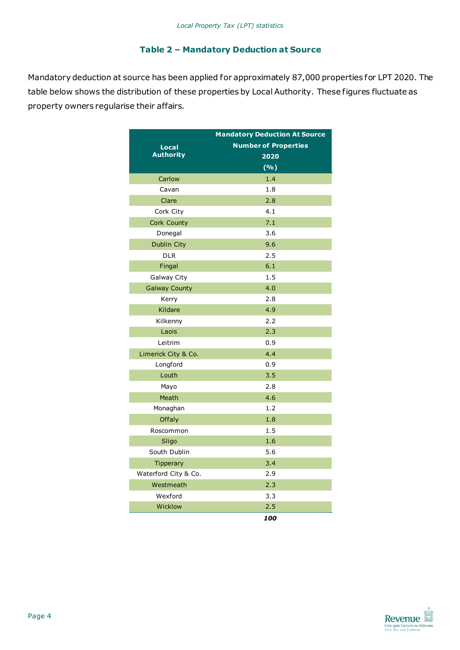#### **Table 2 – Mandatory Deduction at Source**

Mandatory deduction at source has been applied for approximately 87,000 properties for LPT 2020. The table below shows the distribution of these properties by Local Authority. These figures fluctuate as property owners regularise their affairs.

|                      | <b>Mandatory Deduction At Source</b> |
|----------------------|--------------------------------------|
| Local                | <b>Number of Properties</b>          |
| <b>Authority</b>     | 2020                                 |
|                      | (%)                                  |
| Carlow               | 1.4                                  |
| Cavan                | 1.8                                  |
| Clare                | 2.8                                  |
| Cork City            | 4.1                                  |
| Cork County          | 7.1                                  |
| Donegal              | 3.6                                  |
| <b>Dublin City</b>   | 9.6                                  |
| <b>DLR</b>           | 2.5                                  |
| Fingal               | 6.1                                  |
| Galway City          | 1.5                                  |
| <b>Galway County</b> | 4.0                                  |
| Kerry                | 2.8                                  |
| Kildare              | 4.9                                  |
| Kilkenny             | 2.2                                  |
| Laois                | 2.3                                  |
| Leitrim              | 0.9                                  |
| Limerick City & Co.  | 4.4                                  |
| Longford             | 0.9                                  |
| Louth                | 3.5                                  |
| Mayo                 | 2.8                                  |
| Meath                | 4.6                                  |
| Monaghan             | 1.2                                  |
| Offaly               | 1.8                                  |
| Roscommon            | 1.5                                  |
| Sligo                | 1.6                                  |
| South Dublin         | 5.6                                  |
| Tipperary            | 3.4                                  |
| Waterford City & Co. | 2.9                                  |
| Westmeath            | 2.3                                  |
| Wexford              | 3.3                                  |
| Wicklow              | 2.5                                  |
|                      | 100                                  |

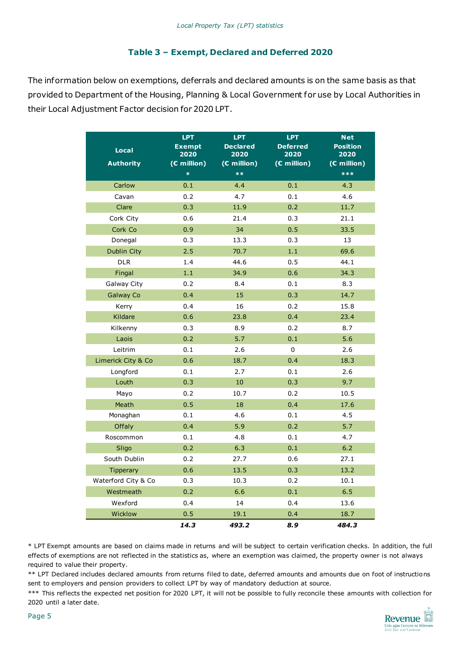#### **Table 3 – Exempt, Declared and Deferred 2020**

The information below on exemptions, deferrals and declared amounts is on the same basis as that provided to Department of the Housing, Planning & Local Government for use by Local Authorities in their Local Adjustment Factor decision for 2020 LPT.

|                     | <b>LPT</b>            | <b>LPT</b>              | <b>LPT</b>              | <b>Net</b>              |
|---------------------|-----------------------|-------------------------|-------------------------|-------------------------|
| <b>Local</b>        | <b>Exempt</b><br>2020 | <b>Declared</b><br>2020 | <b>Deferred</b><br>2020 | <b>Position</b><br>2020 |
| <b>Authority</b>    | (€ million)           | (€ million)             | $\overline{C}$ million) | (€ million)             |
|                     | $\ast$                | $**$                    |                         | $***$                   |
| Carlow              | 0.1                   | 4.4                     | 0.1                     | 4.3                     |
| Cavan               | 0.2                   | 4.7                     | 0.1                     | 4.6                     |
| Clare               | 0.3                   | 11.9                    | 0.2                     | 11.7                    |
| Cork City           | 0.6                   | 21.4                    | 0.3                     | 21.1                    |
| Cork Co             | 0.9                   | 34                      | 0.5                     | 33.5                    |
| Donegal             | 0.3                   | 13.3                    | 0.3                     | 13                      |
| Dublin City         | 2.5                   | 70.7                    | 1.1                     | 69.6                    |
| <b>DLR</b>          | 1.4                   | 44.6                    | 0.5                     | 44.1                    |
| Fingal              | 1.1                   | 34.9                    | 0.6                     | 34.3                    |
| <b>Galway City</b>  | 0.2                   | 8.4                     | 0.1                     | 8.3                     |
| <b>Galway Co</b>    | 0.4                   | 15                      | 0.3                     | 14.7                    |
| Kerry               | 0.4                   | 16                      | 0.2                     | 15.8                    |
| Kildare             | 0.6                   | 23.8                    | 0.4                     | 23.4                    |
| Kilkenny            | 0.3                   | 8.9                     | 0.2                     | 8.7                     |
| Laois               | 0.2                   | 5.7                     | 0.1                     | 5.6                     |
| Leitrim             | 0.1                   | 2.6                     | 0                       | 2.6                     |
| Limerick City & Co  | 0.6                   | 18.7                    | 0.4                     | 18.3                    |
| Longford            | 0.1                   | 2.7                     | 0.1                     | 2.6                     |
| Louth               | 0.3                   | 10                      | 0.3                     | 9.7                     |
| Mayo                | 0.2                   | 10.7                    | 0.2                     | 10.5                    |
| Meath               | 0.5                   | 18                      | 0.4                     | 17.6                    |
| Monaghan            | 0.1                   | 4.6                     | 0.1                     | 4.5                     |
| Offaly              | 0.4                   | 5.9                     | 0.2                     | 5.7                     |
| Roscommon           | 0.1                   | 4.8                     | 0.1                     | 4.7                     |
| Sligo               | 0.2                   | 6.3                     | 0.1                     | $6.2$                   |
| South Dublin        | 0.2                   | 27.7                    | 0.6                     | 27.1                    |
| <b>Tipperary</b>    | 0.6                   | 13.5                    | 0.3                     | 13.2                    |
| Waterford City & Co | 0.3                   | 10.3                    | 0.2                     | 10.1                    |
| Westmeath           | 0.2                   | 6.6                     | 0.1                     | 6.5                     |
| Wexford             | 0.4                   | 14                      | 0.4                     | 13.6                    |
| Wicklow             | 0.5                   | 19.1                    | 0.4                     | 18.7                    |
|                     | 14.3                  | 493.2                   | 8.9                     | 484.3                   |

\* LPT Exempt amounts are based on claims made in returns and will be subject to certain verification checks. In addition, the full effects of exemptions are not reflected in the statistics as, where an exemption was claimed, the property owner is not always required to value their property.

\*\* LPT Declared includes declared amounts from returns filed to date, deferred amounts and amounts due on foot of instructions sent to employers and pension providers to collect LPT by way of mandatory deduction at source.

\*\*\* This reflects the expected net position for 2020 LPT, it will not be possible to fully reconcile these amounts with collection for 2020 until a later date.

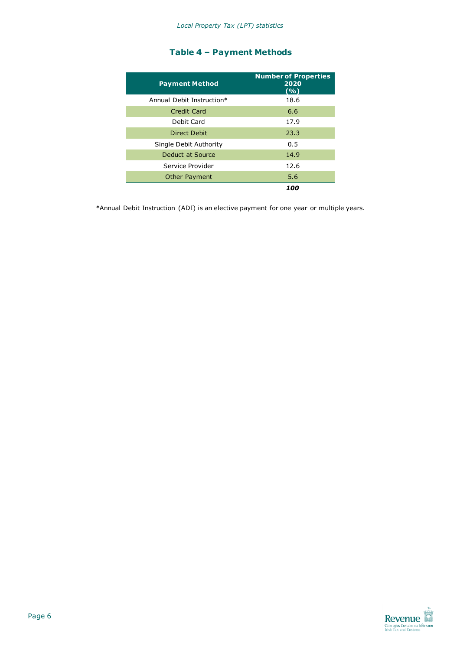#### **Table 4 – Payment Methods**

| <b>Payment Method</b>     | <b>Number of Properties</b><br>2020<br>(%) |
|---------------------------|--------------------------------------------|
| Annual Debit Instruction* | 18.6                                       |
| Credit Card               | 6.6                                        |
| Debit Card                | 17.9                                       |
| Direct Debit              | 23.3                                       |
| Single Debit Authority    | 0.5                                        |
| Deduct at Source          | 14.9                                       |
| Service Provider          | 12.6                                       |
| <b>Other Payment</b>      | 5.6                                        |
|                           | 100                                        |

\*Annual Debit Instruction (ADI) is an elective payment for one year or multiple years.

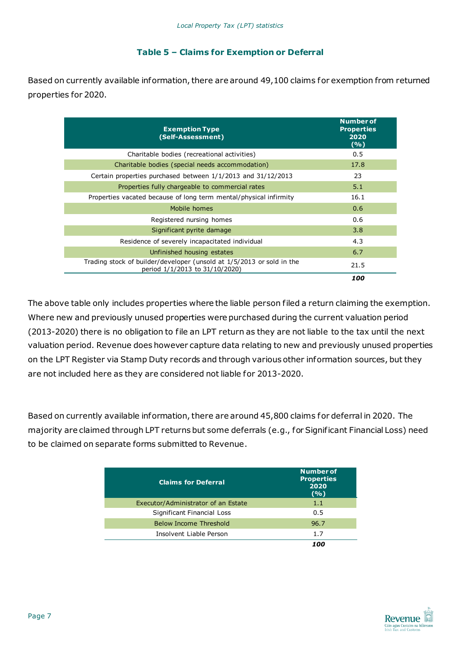#### **Table 5 – Claims for Exemption or Deferral**

Based on currently available information, there are around 49,100 claims for exemption from returned properties for 2020.

| <b>Exemption Type</b><br>(Self-Assessment)                                                                | <b>Number of</b><br><b>Properties</b><br>2020<br>(%) |
|-----------------------------------------------------------------------------------------------------------|------------------------------------------------------|
| Charitable bodies (recreational activities)                                                               | 0.5                                                  |
| Charitable bodies (special needs accommodation)                                                           | 17.8                                                 |
| Certain properties purchased between $1/1/2013$ and $31/12/2013$                                          | 23                                                   |
| Properties fully chargeable to commercial rates                                                           | 5.1                                                  |
| Properties vacated because of long term mental/physical infirmity                                         | 16.1                                                 |
| Mobile homes                                                                                              | 0.6                                                  |
| Registered nursing homes                                                                                  | 0.6                                                  |
| Significant pyrite damage                                                                                 | 3.8                                                  |
| Residence of severely incapacitated individual                                                            | 4.3                                                  |
| Unfinished housing estates                                                                                | 6.7                                                  |
| Trading stock of builder/developer (unsold at 1/5/2013 or sold in the<br>period $1/1/2013$ to 31/10/2020) | 21.5                                                 |
|                                                                                                           | 100                                                  |

The above table only includes properties where the liable person filed a return claiming the exemption. Where new and previously unused properties were purchased during the current valuation period (2013-2020) there is no obligation to file an LPT return as they are not liable to the tax until the next valuation period. Revenue does however capture data relating to new and previously unused properties on the LPT Register via Stamp Duty records and through various other information sources, but they are not included here as they are considered not liable for 2013-2020.

Based on currently available information, there are around 45,800 claims for deferral in 2020. The majority are claimed through LPT returns but some deferrals (e.g., for Significant Financial Loss) need to be claimed on separate forms submitted to Revenue.

| <b>Claims for Deferral</b>          | <b>Number of</b><br><b>Properties</b><br>2020<br>(9/6) |
|-------------------------------------|--------------------------------------------------------|
| Executor/Administrator of an Estate | 1.1                                                    |
| Significant Financial Loss          | 0.5                                                    |
| <b>Below Income Threshold</b>       | 96.7                                                   |
| Insolvent Liable Person             | 1.7                                                    |
|                                     |                                                        |

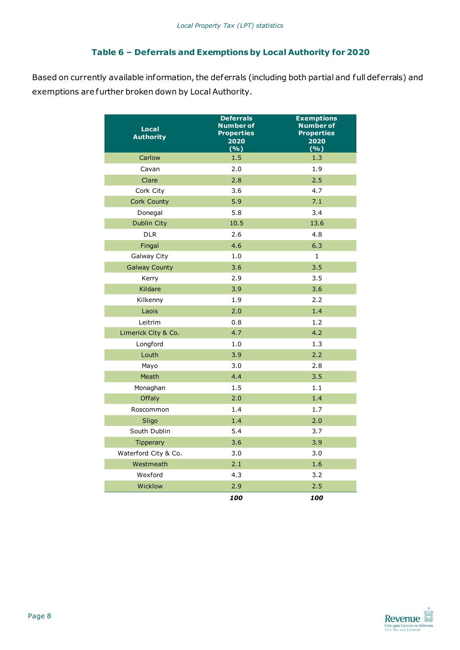#### **Table 6 – Deferrals and Exemptions by Local Authority for 2020**

Based on currently available information, the deferrals (including both partial and full deferrals) and exemptions are further broken down by Local Authority.

| <b>Local</b><br><b>Authority</b> | <b>Deferrals</b><br><b>Number of</b><br><b>Properties</b><br>2020<br>(%) | <b>Exemptions</b><br><b>Number of</b><br><b>Properties</b><br>2020<br>(%) |
|----------------------------------|--------------------------------------------------------------------------|---------------------------------------------------------------------------|
| Carlow                           | 1.5                                                                      | 1.3                                                                       |
| Cavan                            | 2.0                                                                      | 1.9                                                                       |
| Clare                            | 2.8                                                                      | 2.5                                                                       |
| Cork City                        | 3.6                                                                      | 4.7                                                                       |
| Cork County                      | 5.9                                                                      | 7.1                                                                       |
| Donegal                          | 5.8                                                                      | 3.4                                                                       |
| <b>Dublin City</b>               | 10.5                                                                     | 13.6                                                                      |
| <b>DLR</b>                       | 2.6                                                                      | 4.8                                                                       |
| Fingal                           | 4.6                                                                      | 6.3                                                                       |
| Galway City                      | 1.0                                                                      | $\mathbf{1}$                                                              |
| <b>Galway County</b>             | 3.6                                                                      | 3.5                                                                       |
| Kerry                            | 2.9                                                                      | 3.5                                                                       |
| Kildare                          | 3.9                                                                      | 3.6                                                                       |
| Kilkenny                         | 1.9                                                                      | 2.2                                                                       |
| Laois                            | 2.0                                                                      | 1.4                                                                       |
| Leitrim                          | 0.8                                                                      | 1.2                                                                       |
| Limerick City & Co.              | 4.7                                                                      | 4.2                                                                       |
| Longford                         | 1.0                                                                      | 1.3                                                                       |
| Louth                            | 3.9                                                                      | 2.2                                                                       |
| Mayo                             | 3.0                                                                      | 2.8                                                                       |
| Meath                            | 4.4                                                                      | 3.5                                                                       |
| Monaghan                         | 1.5                                                                      | 1.1                                                                       |
| Offaly                           | 2.0                                                                      | 1.4                                                                       |
| Roscommon                        | 1.4                                                                      | 1.7                                                                       |
| Sligo                            | 1.4                                                                      | 2.0                                                                       |
| South Dublin                     | 5.4                                                                      | 3.7                                                                       |
| Tipperary                        | 3.6                                                                      | 3.9                                                                       |
| Waterford City & Co.             | 3.0                                                                      | 3.0                                                                       |
| Westmeath                        | 2.1                                                                      | 1.6                                                                       |
| Wexford                          | 4.3                                                                      | 3.2                                                                       |
| Wicklow                          | 2.9                                                                      | 2.5                                                                       |
|                                  | 100                                                                      | 100                                                                       |

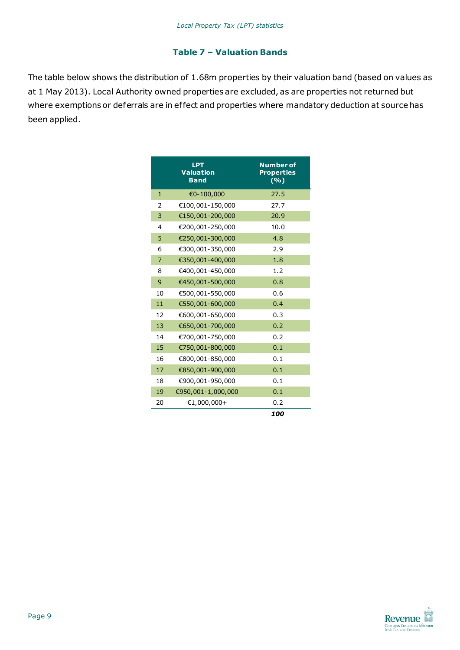#### **Table 7 – Valuation Bands**

The table below shows the distribution of 1.68m properties by their valuation band (based on values as at 1 May 2013). Local Authority owned properties are excluded, as are properties not returned but where exemptions or deferrals are in ef fect and properties where mandatory deduction at source has been applied.

|                | <b>LPT</b><br><b>Valuation</b><br><b>Band</b> | <b>Number of</b><br><b>Properties</b><br>$(\sqrt[6]{\circ})$ |
|----------------|-----------------------------------------------|--------------------------------------------------------------|
| 1              | €0-100,000                                    | 27.5                                                         |
| 2              | €100,001-150,000                              | 27.7                                                         |
| 3              | €150,001-200,000                              | 20.9                                                         |
| 4              | €200,001-250,000                              | 10.0                                                         |
| 5              | €250,001-300,000                              | 4.8                                                          |
| 6              | €300,001-350,000                              | 2.9                                                          |
| $\overline{7}$ | €350,001-400,000                              | 1.8                                                          |
| 8              | €400,001-450,000                              | 1.2                                                          |
| 9              | €450,001-500,000                              | 0.8                                                          |
| 10             | €500,001-550,000                              | 0.6                                                          |
| 11             | €550,001-600,000                              | 0.4                                                          |
| 12             | €600,001-650,000                              | 0.3                                                          |
| 13             | €650,001-700,000                              | 0.2                                                          |
| 14             | €700,001-750,000                              | 0.2                                                          |
| 15             | €750,001-800,000                              | 0.1                                                          |
| 16             | €800,001-850,000                              | 0.1                                                          |
| 17             | €850,001-900,000                              | 0.1                                                          |
| 18             | €900,001-950,000                              | 0.1                                                          |
| 19             | €950,001-1,000,000                            | 0.1                                                          |
| 20             | €1,000,000+                                   | 0.2                                                          |
|                |                                               | 100                                                          |

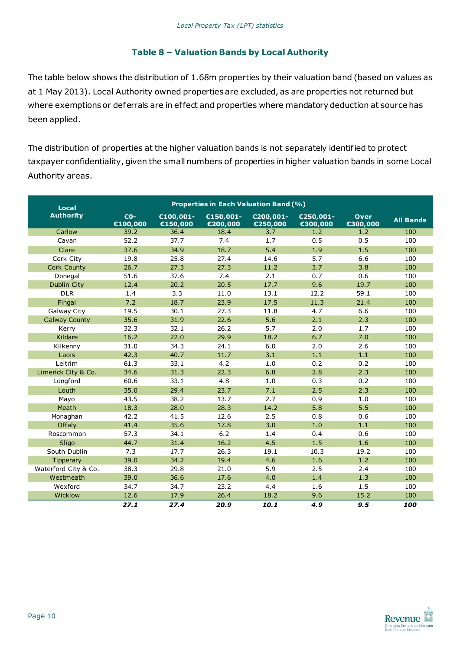#### **Table 8 – Valuation Bands by Local Authority**

The table below shows the distribution of 1.68m properties by their valuation band (based on values as at 1 May 2013). Local Authority owned properties are excluded, as are properties not returned but where exemptions or deferrals are in ef fect and properties where mandatory deduction at source has been applied.

The distribution of properties at the higher valuation bands is not separately identified to protect taxpayer confidentiality, given the small numbers of properties in higher valuation bands in some Local Authority areas.

| Local                | <b>Properties in Each Valuation Band (%)</b> |                                    |                       |                       |                       |                  |                  |  |
|----------------------|----------------------------------------------|------------------------------------|-----------------------|-----------------------|-----------------------|------------------|------------------|--|
| <b>Authority</b>     | €0-<br>€100,000                              | €100,001-<br>$\overline{c150,000}$ | €150,001-<br>€200,000 | €200,001-<br>€250,000 | €250,001-<br>€300,000 | Over<br>€300,000 | <b>All Bands</b> |  |
| Carlow               | 39.2                                         | 36.4                               | 18.4                  | 3.7                   | 1.2                   | 1.2              | 100              |  |
| Cavan                | 52.2                                         | 37.7                               | 7.4                   | 1.7                   | 0.5                   | 0.5              | 100              |  |
| Clare                | 37.6                                         | 34.9                               | 18.7                  | 5.4                   | 1.9                   | 1.5              | 100              |  |
| Cork City            | 19.8                                         | 25.8                               | 27.4                  | 14.6                  | 5.7                   | 6.6              | 100              |  |
| <b>Cork County</b>   | 26.7                                         | 27.3                               | 27.3                  | 11.2                  | 3.7                   | 3.8              | 100              |  |
| Donegal              | 51.6                                         | 37.6                               | 7.4                   | 2.1                   | 0.7                   | 0.6              | 100              |  |
| Dublin City          | 12.4                                         | 20.2                               | 20.5                  | 17.7                  | 9.6                   | 19.7             | 100              |  |
| <b>DLR</b>           | 1.4                                          | 3.3                                | 11.0                  | 13.1                  | 12.2                  | 59.1             | 100              |  |
| Fingal               | 7.2                                          | 18.7                               | 23.9                  | 17.5                  | 11.3                  | 21.4             | 100              |  |
| <b>Galway City</b>   | 19.5                                         | 30.1                               | 27.3                  | 11.8                  | 4.7                   | 6.6              | 100              |  |
| <b>Galway County</b> | 35.6                                         | 31.9                               | 22.6                  | 5.6                   | 2.1                   | 2.3              | 100              |  |
| Kerry                | 32.3                                         | 32.1                               | 26.2                  | 5.7                   | 2.0                   | 1.7              | 100              |  |
| Kildare              | 16.2                                         | 22.0                               | 29.9                  | 18.2                  | 6.7                   | 7.0              | 100              |  |
| Kilkenny             | 31.0                                         | 34.3                               | 24.1                  | 6.0                   | 2.0                   | 2.6              | 100              |  |
| Laois                | 42.3                                         | 40.7                               | 11.7                  | 3.1                   | 1.1                   | 1.1              | 100              |  |
| Leitrim              | 61.3                                         | 33.1                               | 4.2                   | 1.0                   | 0.2                   | 0.2              | 100              |  |
| Limerick City & Co.  | 34.6                                         | 31.3                               | 22.3                  | 6.8                   | 2.8                   | 2.3              | 100              |  |
| Longford             | 60.6                                         | 33.1                               | 4.8                   | 1.0                   | 0.3                   | 0.2              | 100              |  |
| Louth                | 35.0                                         | 29.4                               | 23.7                  | 7.1                   | 2.5                   | 2.3              | 100              |  |
| Mayo                 | 43.5                                         | 38.2                               | 13.7                  | 2.7                   | 0.9                   | 1.0              | 100              |  |
| Meath                | 18.3                                         | 28.0                               | 28.3                  | 14.2                  | 5.8                   | 5.5              | 100              |  |
| Monaghan             | 42.2                                         | 41.5                               | 12.6                  | 2.5                   | 0.8                   | 0.6              | 100              |  |
| Offaly               | 41.4                                         | 35.6                               | 17.8                  | 3.0                   | 1.0                   | 1.1              | 100              |  |
| Roscommon            | 57.3                                         | 34.1                               | 6.2                   | 1.4                   | 0.4                   | 0.6              | 100              |  |
| Sligo                | 44.7                                         | 31.4                               | 16.2                  | 4.5                   | 1.5                   | 1.6              | 100              |  |
| South Dublin         | 7.3                                          | 17.7                               | 26.3                  | 19.1                  | 10.3                  | 19.2             | 100              |  |
| <b>Tipperary</b>     | 39.0                                         | 34.2                               | 19.4                  | 4.6                   | 1.6                   | 1.2              | 100              |  |
| Waterford City & Co. | 38.3                                         | 29.8                               | 21.0                  | 5.9                   | 2.5                   | 2.4              | 100              |  |
| Westmeath            | 39.0                                         | 36.6                               | 17.6                  | 4.0                   | 1.4                   | 1.3              | 100              |  |
| Wexford              | 34.7                                         | 34.7                               | 23.2                  | 4.4                   | 1.6                   | 1.5              | 100              |  |
| Wicklow              | 12.6                                         | 17.9                               | 26.4                  | 18.2                  | 9.6                   | 15.2             | 100              |  |
|                      | 27.1                                         | 27.4                               | 20.9                  | 10.1                  | 4.9                   | 9.5              | 100              |  |

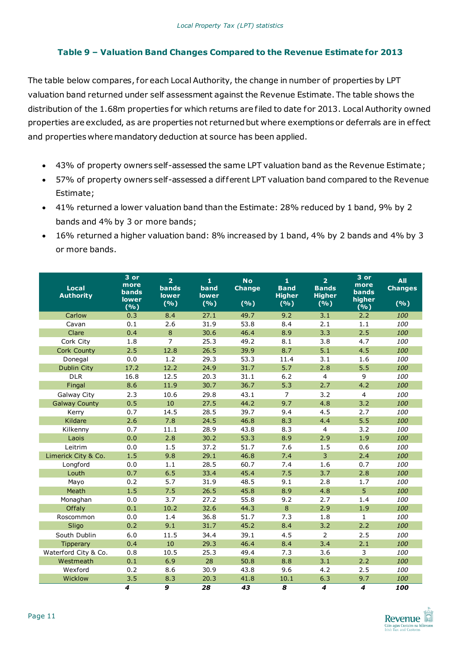#### **Table 9 – Valuation Band Changes Compared to the Revenue Estimate for 2013**

The table below compares, for each Local Authority, the change in number of properties by LPT valuation band returned under self assessment against the Revenue Estimate. The table shows the distribution of the 1.68m properties for which returns are filed to date for 2013. Local Authority owned properties are excluded, as are properties not returned but where exemptions or deferrals are in ef fect and properties where mandatory deduction at source has been applied.

- 43% of property owners self-assessed the same LPT valuation band as the Revenue Estimate;
- 57% of property owners self-assessed a dif ferent LPT valuation band compared to the Revenue Estimate;
- 41% returned a lower valuation band than the Estimate: 28% reduced by 1 band, 9% by 2 bands and 4% by 3 or more bands;
- 16% returned a higher valuation band: 8% increased by 1 band, 4% by 2 bands and 4% by 3 or more bands.

| <b>Local</b><br><b>Authority</b> | 3 or<br>more<br><b>bands</b><br>lower | $\overline{2}$<br><b>bands</b><br><b>lower</b> | $\mathbf{1}$<br>band<br><b>lower</b> | <b>No</b><br><b>Change</b> | $\mathbf{1}$<br><b>Band</b><br><b>Higher</b> | $\overline{2}$<br><b>Bands</b><br><b>Higher</b> | 3 or<br>more<br><b>bands</b><br>higher | <b>All</b><br><b>Changes</b> |
|----------------------------------|---------------------------------------|------------------------------------------------|--------------------------------------|----------------------------|----------------------------------------------|-------------------------------------------------|----------------------------------------|------------------------------|
|                                  | (%)                                   | (%)                                            | (%)                                  | (9/6)                      | (%)                                          | (%)                                             | (%)                                    | (%)                          |
| Carlow                           | 0.3                                   | 8.4                                            | 27.1                                 | 49.7                       | 9.2                                          | 3.1                                             | 2.2                                    | 100                          |
| Cavan                            | 0.1                                   | 2.6                                            | 31.9                                 | 53.8                       | 8.4                                          | 2.1                                             | 1.1                                    | 100                          |
| Clare                            | 0.4                                   | 8                                              | 30.6                                 | 46.4                       | 8.9                                          | 3.3                                             | 2.5                                    | 100                          |
| Cork City                        | 1.8                                   | $\overline{7}$                                 | 25.3                                 | 49.2                       | 8.1                                          | 3.8                                             | 4.7                                    | 100                          |
| <b>Cork County</b>               | 2.5                                   | 12.8                                           | 26.5                                 | 39.9                       | 8.7                                          | 5.1                                             | 4.5                                    | 100                          |
| Donegal                          | 0.0                                   | 1.2                                            | 29.3                                 | 53.3                       | 11.4                                         | 3.1                                             | 1.6                                    | 100                          |
| Dublin City                      | 17.2                                  | 12.2                                           | 24.9                                 | 31.7                       | 5.7                                          | 2.8                                             | 5.5                                    | 100                          |
| <b>DLR</b>                       | 16.8                                  | 12.5                                           | 20.3                                 | 31.1                       | 6.2                                          | $\overline{4}$                                  | 9                                      | 100                          |
| Fingal                           | 8.6                                   | 11.9                                           | 30.7                                 | 36.7                       | 5.3                                          | 2.7                                             | 4.2                                    | 100                          |
| Galway City                      | 2.3                                   | 10.6                                           | 29.8                                 | 43.1                       | $\overline{7}$                               | 3.2                                             | $\overline{4}$                         | 100                          |
| <b>Galway County</b>             | 0.5                                   | 10                                             | 27.5                                 | 44.2                       | 9.7                                          | 4.8                                             | 3.2                                    | 100                          |
| Kerry                            | 0.7                                   | 14.5                                           | 28.5                                 | 39.7                       | 9.4                                          | 4.5                                             | 2.7                                    | 100                          |
| Kildare                          | 2.6                                   | 7.8                                            | 24.5                                 | 46.8                       | 8.3                                          | 4.4                                             | 5.5                                    | 100                          |
| Kilkenny                         | 0.7                                   | 11.1                                           | 28.9                                 | 43.8                       | 8.3                                          | $\overline{4}$                                  | 3.2                                    | 100                          |
| Laois                            | 0.0                                   | 2.8                                            | 30.2                                 | 53.3                       | 8.9                                          | 2.9                                             | 1.9                                    | 100                          |
| Leitrim                          | 0.0                                   | 1.5                                            | 37.2                                 | 51.7                       | 7.6                                          | 1.5                                             | 0.6                                    | 100                          |
| Limerick City & Co.              | 1.5                                   | 9.8                                            | 29.1                                 | 46.8                       | 7.4                                          | 3                                               | 2.4                                    | 100                          |
| Longford                         | 0.0                                   | 1.1                                            | 28.5                                 | 60.7                       | 7.4                                          | 1.6                                             | 0.7                                    | 100                          |
| Louth                            | 0.7                                   | 6.5                                            | 33.4                                 | 45.4                       | 7.5                                          | 3.7                                             | 2.8                                    | 100                          |
| Mayo                             | 0.2                                   | 5.7                                            | 31.9                                 | 48.5                       | 9.1                                          | 2.8                                             | 1.7                                    | 100                          |
| Meath                            | 1.5                                   | 7.5                                            | 26.5                                 | 45.8                       | 8.9                                          | 4.8                                             | 5 <sup>1</sup>                         | 100                          |
| Monaghan                         | 0.0                                   | 3.7                                            | 27.2                                 | 55.8                       | 9.2                                          | 2.7                                             | 1.4                                    | 100                          |
| Offaly                           | 0.1                                   | 10.2                                           | 32.6                                 | 44.3                       | 8                                            | 2.9                                             | 1.9                                    | 100                          |
| Roscommon                        | 0.0                                   | 1.4                                            | 36.8                                 | 51.7                       | 7.3                                          | 1.8                                             | $\mathbf{1}$                           | 100                          |
| Sligo                            | 0.2                                   | 9.1                                            | 31.7                                 | 45.2                       | 8.4                                          | 3.2                                             | 2.2                                    | 100                          |
| South Dublin                     | 6.0                                   | 11.5                                           | 34.4                                 | 39.1                       | 4.5                                          | $\overline{2}$                                  | 2.5                                    | 100                          |
| Tipperary                        | 0.4                                   | 10                                             | 29.3                                 | 46.4                       | 8.4                                          | 3.4                                             | 2.1                                    | 100                          |
| Waterford City & Co.             | 0.8                                   | 10.5                                           | 25.3                                 | 49.4                       | 7.3                                          | 3.6                                             | $\overline{3}$                         | 100                          |
| Westmeath                        | 0.1                                   | 6.9                                            | 28                                   | 50.8                       | 8.8                                          | 3.1                                             | 2.2                                    | 100                          |
| Wexford                          | 0.2                                   | 8.6                                            | 30.9                                 | 43.8                       | 9.6                                          | 4.2                                             | 2.5                                    | 100                          |
| Wicklow                          | 3.5                                   | 8.3                                            | 20.3                                 | 41.8                       | 10.1                                         | 6.3                                             | 9.7                                    | 100                          |
|                                  | $\overline{\mathbf{4}}$               | 9                                              | 28                                   | 43                         | 8                                            | 4                                               | $\overline{\mathbf{4}}$                | 100                          |

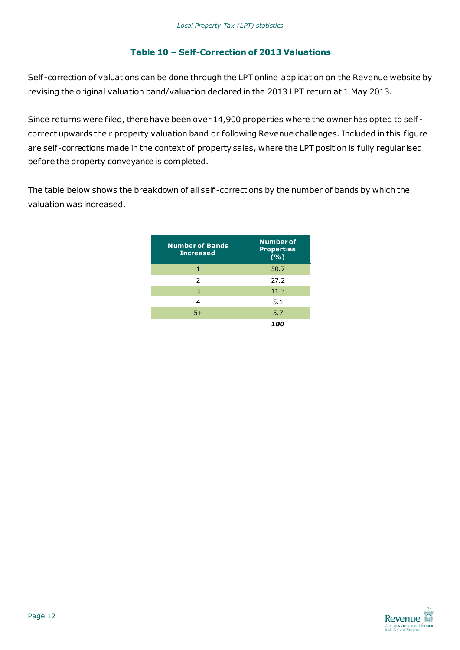#### **Table 10 – Self-Correction of 2013 Valuations**

Self -correction of valuations can be done through the LPT online application on the Revenue website by revising the original valuation band/valuation declared in the 2013 LPT return at 1 May 2013.

Since returns were filed, there have been over 14,900 properties where the owner has opted to self correct upwards their property valuation band or following Revenue challenges. Included in this figure are self -corrections made in the context of property sales, where the LPT position is fully regular ised before the property conveyance is completed.

The table below shows the breakdown of all self -corrections by the number of bands by which the valuation was increased.

| <b>Number of Bands</b><br><b>Increased</b> | <b>Number of</b><br><b>Properties</b><br>(%) |
|--------------------------------------------|----------------------------------------------|
| 1                                          | 50.7                                         |
| $\mathcal{P}$                              | 27.2                                         |
| 3                                          | 11.3                                         |
| 4                                          | 5.1                                          |
| $5+$                                       | 5.7                                          |
|                                            |                                              |

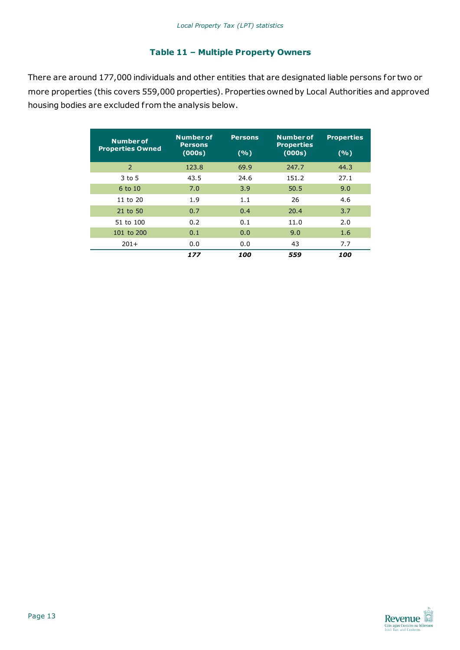#### **Table 11 – Multiple Property Owners**

There are around 177,000 individuals and other entities that are designated liable persons for two or more properties (this covers 559,000 properties). Properties owned by Local Authorities and approved housing bodies are excluded from the analysis below.

| <b>Number of</b><br><b>Properties Owned</b> | <b>Number of</b><br><b>Persons</b><br>(000s) | <b>Persons</b><br>(9/6) | <b>Number of</b><br><b>Properties</b><br>(000s) | <b>Properties</b><br>(%) |
|---------------------------------------------|----------------------------------------------|-------------------------|-------------------------------------------------|--------------------------|
| 2                                           | 123.8                                        | 69.9                    | 247.7                                           | 44.3                     |
| 3 to 5                                      | 43.5                                         | 24.6                    | 151.2                                           | 27.1                     |
| 6 to 10                                     | 7.0                                          | 3.9                     | 50.5                                            | 9.0                      |
| 11 to $20$                                  | 1.9                                          | 1.1                     | 26                                              | 4.6                      |
| 21 to 50                                    | 0.7                                          | 0.4                     | 20.4                                            | 3.7                      |
| 51 to 100                                   | 0.2                                          | 0.1                     | 11.0                                            | 2.0                      |
| 101 to 200                                  | 0.1                                          | 0.0                     | 9.0                                             | 1.6                      |
| $201+$                                      | 0.0                                          | 0.0                     | 43                                              | 7.7                      |
|                                             | 177                                          | 100                     | 559                                             | 100                      |